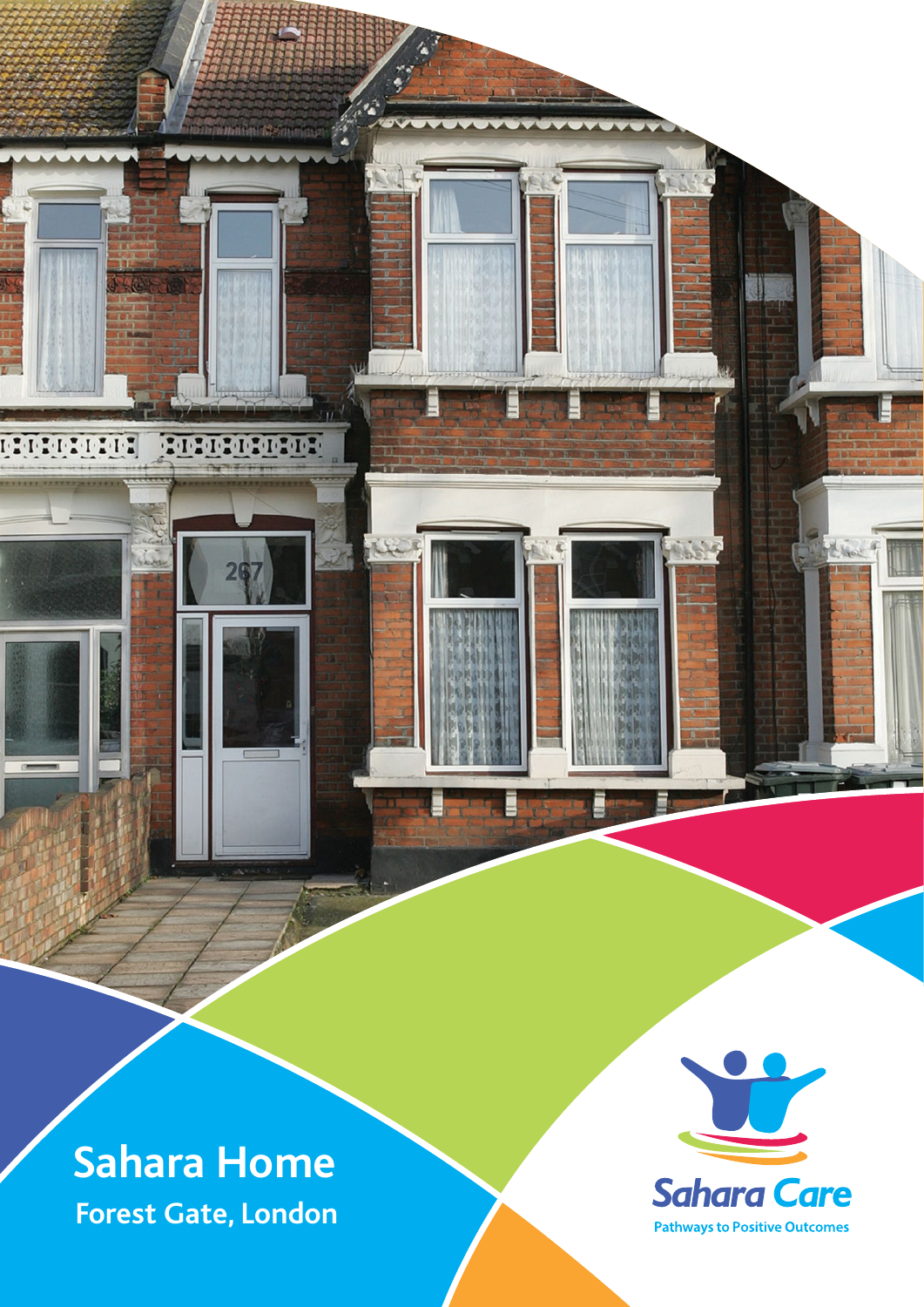**Sahara Home**

**FILIPPIE** 

190909090909

**Forest Gate, London**

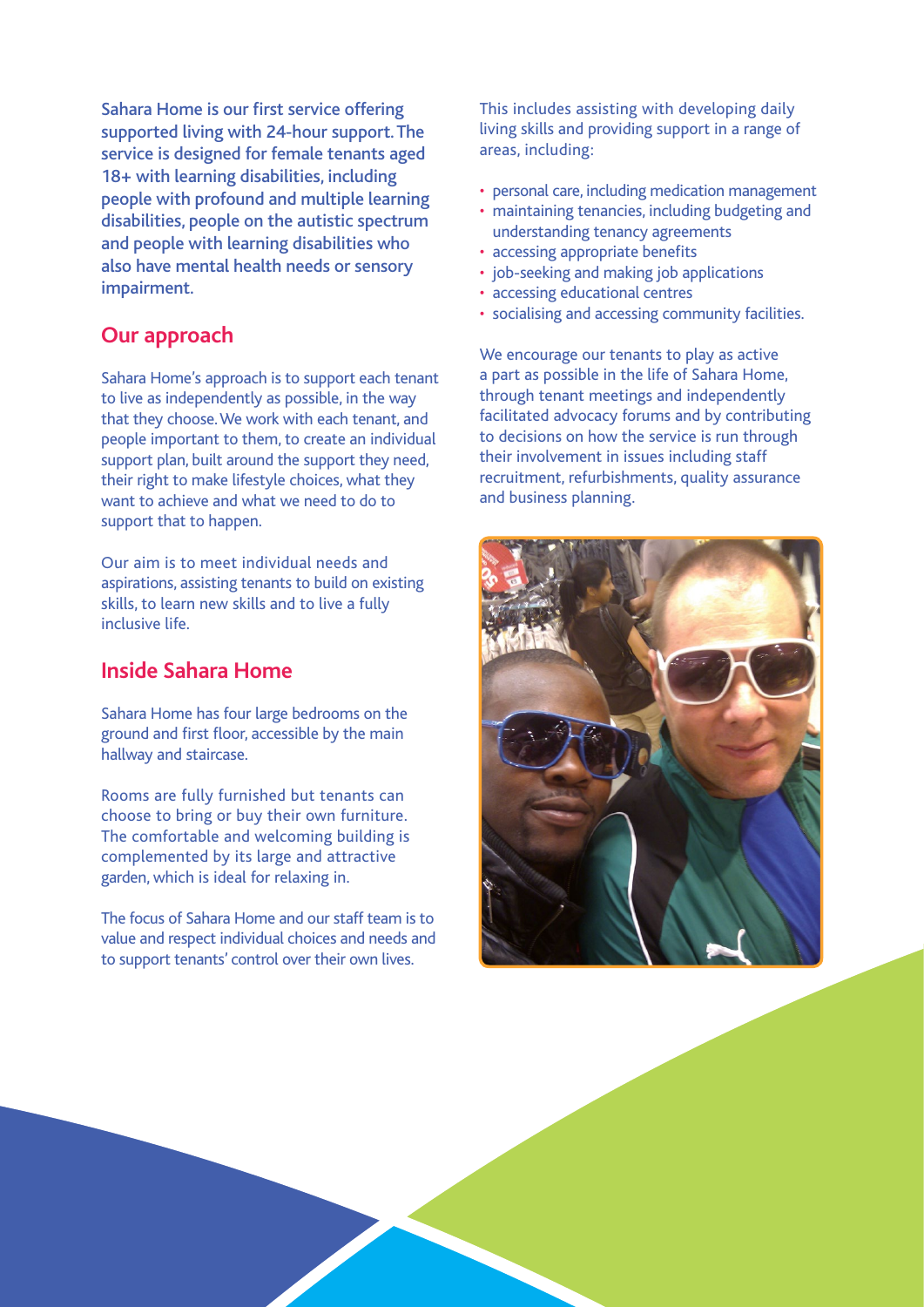Sahara Home is our first service offering supported living with 24-hour support. The service is designed for female tenants aged 18+ with learning disabilities, including people with profound and multiple learning disabilities, people on the autistic spectrum and people with learning disabilities who also have mental health needs or sensory impairment.

## **Our approach**

Sahara Home's approach is to support each tenant to live as independently as possible, in the way that they choose. We work with each tenant, and people important to them, to create an individual support plan, built around the support they need, their right to make lifestyle choices, what they want to achieve and what we need to do to support that to happen.

Our aim is to meet individual needs and aspirations, assisting tenants to build on existing skills, to learn new skills and to live a fully inclusive life.

## **Inside Sahara Home**

Sahara Home has four large bedrooms on the ground and first floor, accessible by the main hallway and staircase.

Rooms are fully furnished but tenants can choose to bring or buy their own furniture. The comfortable and welcoming building is complemented by its large and attractive garden, which is ideal for relaxing in.

The focus of Sahara Home and our staff team is to value and respect individual choices and needs and to support tenants' control over their own lives.

This includes assisting with developing daily living skills and providing support in a range of areas, including:

- personal care, including medication management
- maintaining tenancies, including budgeting and understanding tenancy agreements
- accessing appropriate benefits
- job-seeking and making job applications
- accessing educational centres
- socialising and accessing community facilities.

We encourage our tenants to play as active a part as possible in the life of Sahara Home, through tenant meetings and independently facilitated advocacy forums and by contributing to decisions on how the service is run through their involvement in issues including staff recruitment, refurbishments, quality assurance and business planning.

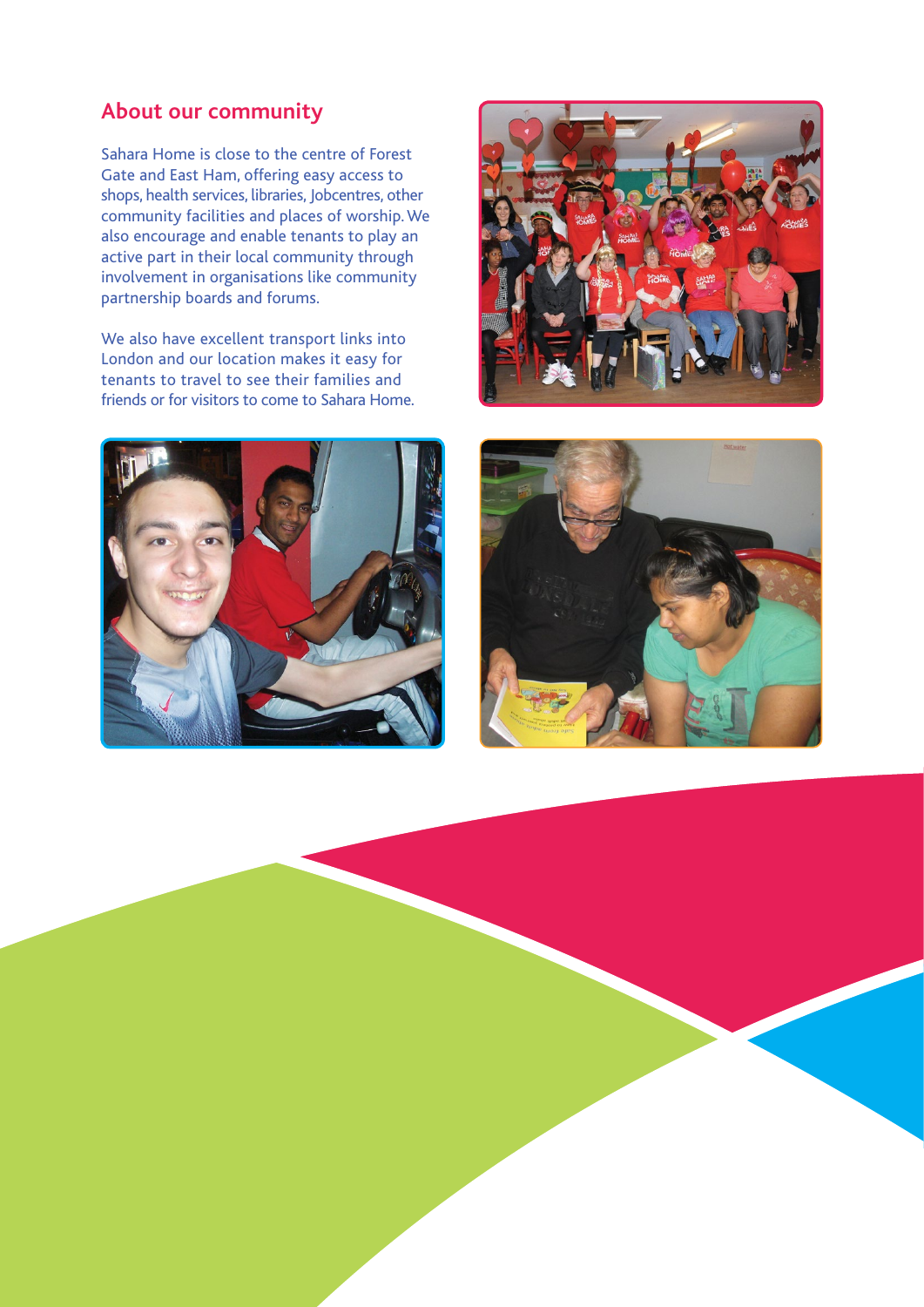## **About our community**

Sahara Home is close to the centre of Forest Gate and East Ham, offering easy access to shops, health services, libraries, Jobcentres, other community facilities and places of worship. We also encourage and enable tenants to play an active part in their local community through involvement in organisations like community partnership boards and forums.

We also have excellent transport links into London and our location makes it easy for tenants to travel to see their families and friends or for visitors to come to Sahara Home.